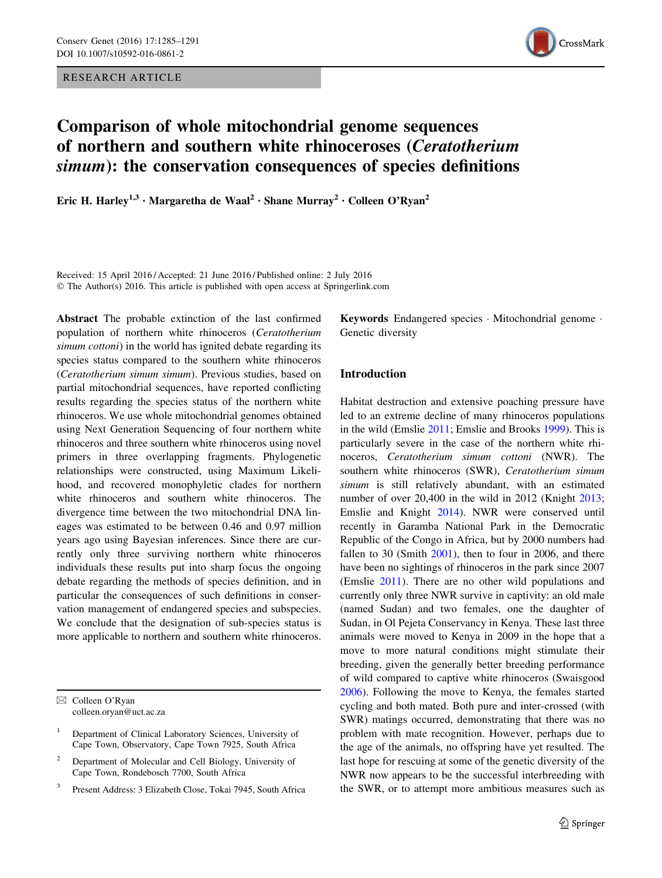# RESEARCH ARTICLE



# Comparison of whole mitochondrial genome sequences of northern and southern white rhinoceroses (Ceratotherium simum): the conservation consequences of species definitions

Eric H. Harley<sup>1,3</sup> • Margaretha de Waal<sup>2</sup> • Shane Murray<sup>2</sup> • Colleen O'Ryan<sup>2</sup>

Received: 15 April 2016 / Accepted: 21 June 2016 / Published online: 2 July 2016 © The Author(s) 2016. This article is published with open access at Springerlink.com

Abstract The probable extinction of the last confirmed population of northern white rhinoceros (Ceratotherium simum cottoni) in the world has ignited debate regarding its species status compared to the southern white rhinoceros (Ceratotherium simum simum). Previous studies, based on partial mitochondrial sequences, have reported conflicting results regarding the species status of the northern white rhinoceros. We use whole mitochondrial genomes obtained using Next Generation Sequencing of four northern white rhinoceros and three southern white rhinoceros using novel primers in three overlapping fragments. Phylogenetic relationships were constructed, using Maximum Likelihood, and recovered monophyletic clades for northern white rhinoceros and southern white rhinoceros. The divergence time between the two mitochondrial DNA lineages was estimated to be between 0.46 and 0.97 million years ago using Bayesian inferences. Since there are currently only three surviving northern white rhinoceros individuals these results put into sharp focus the ongoing debate regarding the methods of species definition, and in particular the consequences of such definitions in conservation management of endangered species and subspecies. We conclude that the designation of sub-species status is more applicable to northern and southern white rhinoceros.

& Colleen O'Ryan colleen.oryan@uct.ac.za

- <sup>1</sup> Department of Clinical Laboratory Sciences, University of Cape Town, Observatory, Cape Town 7925, South Africa
- <sup>2</sup> Department of Molecular and Cell Biology, University of Cape Town, Rondebosch 7700, South Africa
- <sup>3</sup> Present Address: 3 Elizabeth Close, Tokai 7945, South Africa

Keywords Endangered species - Mitochondrial genome - Genetic diversity

# Introduction

Habitat destruction and extensive poaching pressure have led to an extreme decline of many rhinoceros populations in the wild (Emslie [2011](#page-5-0); Emslie and Brooks [1999\)](#page-5-0). This is particularly severe in the case of the northern white rhinoceros, Ceratotherium simum cottoni (NWR). The southern white rhinoceros (SWR), Ceratotherium simum simum is still relatively abundant, with an estimated number of over 20,400 in the wild in 2012 (Knight [2013](#page-6-0); Emslie and Knight [2014\)](#page-5-0). NWR were conserved until recently in Garamba National Park in the Democratic Republic of the Congo in Africa, but by 2000 numbers had fallen to 30 (Smith  $2001$ ), then to four in 2006, and there have been no sightings of rhinoceros in the park since 2007 (Emslie [2011\)](#page-5-0). There are no other wild populations and currently only three NWR survive in captivity: an old male (named Sudan) and two females, one the daughter of Sudan, in Ol Pejeta Conservancy in Kenya. These last three animals were moved to Kenya in 2009 in the hope that a move to more natural conditions might stimulate their breeding, given the generally better breeding performance of wild compared to captive white rhinoceros (Swaisgood [2006](#page-6-0)). Following the move to Kenya, the females started cycling and both mated. Both pure and inter-crossed (with SWR) matings occurred, demonstrating that there was no problem with mate recognition. However, perhaps due to the age of the animals, no offspring have yet resulted. The last hope for rescuing at some of the genetic diversity of the NWR now appears to be the successful interbreeding with the SWR, or to attempt more ambitious measures such as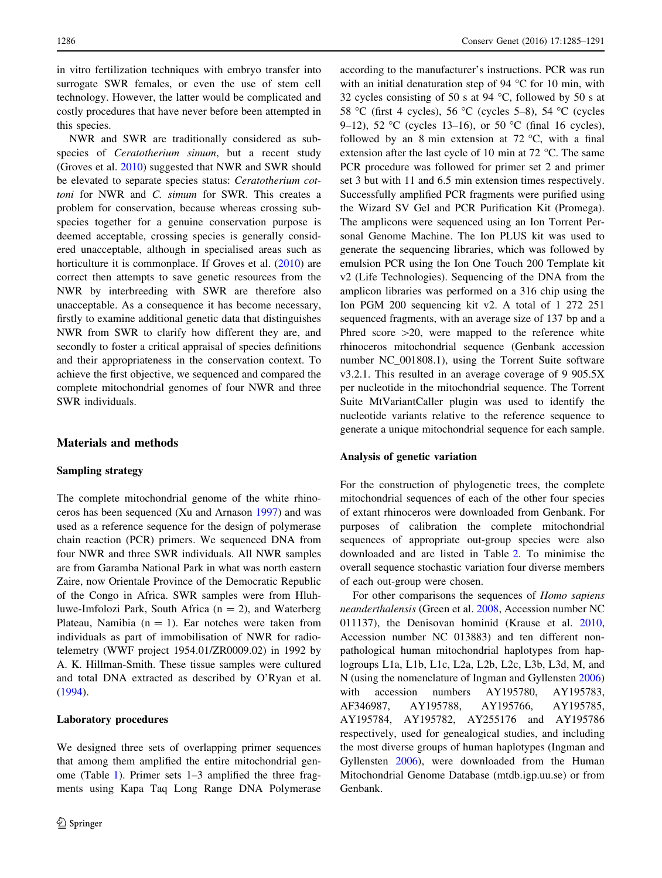in vitro fertilization techniques with embryo transfer into surrogate SWR females, or even the use of stem cell technology. However, the latter would be complicated and costly procedures that have never before been attempted in this species.

NWR and SWR are traditionally considered as subspecies of Ceratotherium simum, but a recent study (Groves et al. [2010\)](#page-5-0) suggested that NWR and SWR should be elevated to separate species status: Ceratotherium cottoni for NWR and C. simum for SWR. This creates a problem for conservation, because whereas crossing subspecies together for a genuine conservation purpose is deemed acceptable, crossing species is generally considered unacceptable, although in specialised areas such as horticulture it is commonplace. If Groves et al. [\(2010](#page-5-0)) are correct then attempts to save genetic resources from the NWR by interbreeding with SWR are therefore also unacceptable. As a consequence it has become necessary, firstly to examine additional genetic data that distinguishes NWR from SWR to clarify how different they are, and secondly to foster a critical appraisal of species definitions and their appropriateness in the conservation context. To achieve the first objective, we sequenced and compared the complete mitochondrial genomes of four NWR and three SWR individuals.

# Materials and methods

### Sampling strategy

The complete mitochondrial genome of the white rhinoceros has been sequenced (Xu and Arnason [1997](#page-6-0)) and was used as a reference sequence for the design of polymerase chain reaction (PCR) primers. We sequenced DNA from four NWR and three SWR individuals. All NWR samples are from Garamba National Park in what was north eastern Zaire, now Orientale Province of the Democratic Republic of the Congo in Africa. SWR samples were from Hluhluwe-Imfolozi Park, South Africa  $(n = 2)$ , and Waterberg Plateau, Namibia ( $n = 1$ ). Ear notches were taken from individuals as part of immobilisation of NWR for radiotelemetry (WWF project 1954.01/ZR0009.02) in 1992 by A. K. Hillman-Smith. These tissue samples were cultured and total DNA extracted as described by O'Ryan et al. [\(1994](#page-6-0)).

# Laboratory procedures

We designed three sets of overlapping primer sequences that among them amplified the entire mitochondrial genome (Table [1\)](#page-2-0). Primer sets 1–3 amplified the three fragments using Kapa Taq Long Range DNA Polymerase according to the manufacturer's instructions. PCR was run with an initial denaturation step of 94  $^{\circ}$ C for 10 min, with 32 cycles consisting of 50 s at 94  $^{\circ}$ C, followed by 50 s at 58 °C (first 4 cycles), 56 °C (cycles 5–8), 54 °C (cycles 9–12), 52 °C (cycles 13–16), or 50 °C (final 16 cycles), followed by an 8 min extension at  $72^{\circ}$ C, with a final extension after the last cycle of 10 min at 72  $^{\circ}$ C. The same PCR procedure was followed for primer set 2 and primer set 3 but with 11 and 6.5 min extension times respectively. Successfully amplified PCR fragments were purified using the Wizard SV Gel and PCR Purification Kit (Promega). The amplicons were sequenced using an Ion Torrent Personal Genome Machine. The Ion PLUS kit was used to generate the sequencing libraries, which was followed by emulsion PCR using the Ion One Touch 200 Template kit v2 (Life Technologies). Sequencing of the DNA from the amplicon libraries was performed on a 316 chip using the Ion PGM 200 sequencing kit v2. A total of 1 272 251 sequenced fragments, with an average size of 137 bp and a Phred score  $>20$ , were mapped to the reference white rhinoceros mitochondrial sequence (Genbank accession number NC\_001808.1), using the Torrent Suite software v3.2.1. This resulted in an average coverage of 9 905.5X per nucleotide in the mitochondrial sequence. The Torrent Suite MtVariantCaller plugin was used to identify the nucleotide variants relative to the reference sequence to generate a unique mitochondrial sequence for each sample.

### Analysis of genetic variation

For the construction of phylogenetic trees, the complete mitochondrial sequences of each of the other four species of extant rhinoceros were downloaded from Genbank. For purposes of calibration the complete mitochondrial sequences of appropriate out-group species were also downloaded and are listed in Table [2.](#page-2-0) To minimise the overall sequence stochastic variation four diverse members of each out-group were chosen.

For other comparisons the sequences of Homo sapiens neanderthalensis (Green et al. [2008,](#page-5-0) Accession number NC 011137), the Denisovan hominid (Krause et al. [2010,](#page-6-0) Accession number NC 013883) and ten different nonpathological human mitochondrial haplotypes from haplogroups L1a, L1b, L1c, L2a, L2b, L2c, L3b, L3d, M, and N (using the nomenclature of Ingman and Gyllensten [2006\)](#page-6-0) with accession numbers AY195780, AY195783, AF346987, AY195788, AY195766, AY195785, AY195784, AY195782, AY255176 and AY195786 respectively, used for genealogical studies, and including the most diverse groups of human haplotypes (Ingman and Gyllensten [2006](#page-6-0)), were downloaded from the Human Mitochondrial Genome Database (mtdb.igp.uu.se) or from Genbank.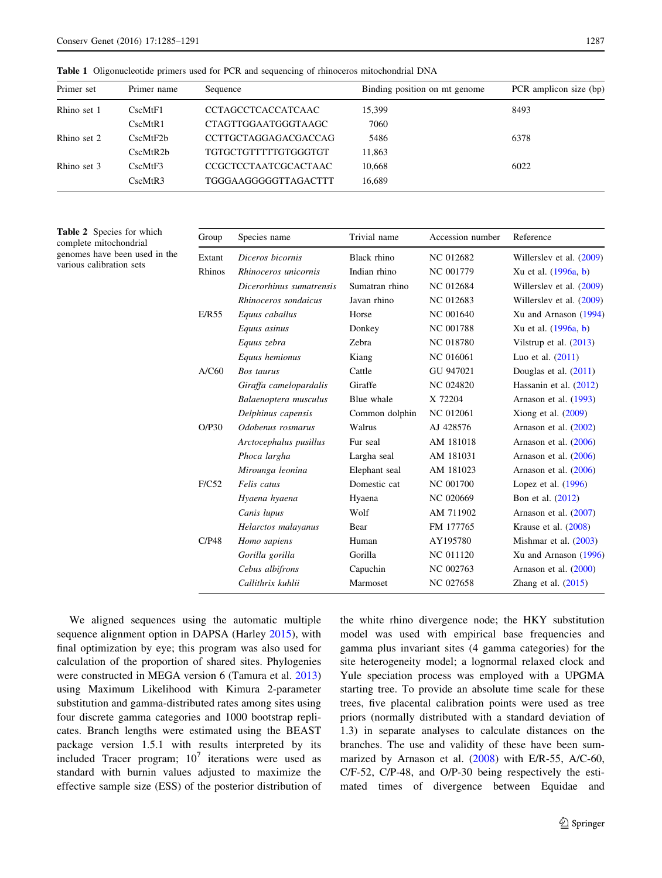<span id="page-2-0"></span>Table 1 Oligonucleotide primers used for PCR and sequencing of rhinoceros mitochondrial DNA

| Primer set  | Primer name | Sequence                            | Binding position on mt genome | PCR amplicon size (bp) |
|-------------|-------------|-------------------------------------|-------------------------------|------------------------|
| Rhino set 1 | CscMtF1     | <b>CCTAGCCTCACCATCAAC</b><br>15,399 | 8493                          |                        |
|             | CscMtR1     | CTAGTTGGAATGGGTAAGC                 | 7060                          |                        |
| Rhino set 2 | CscMtF2b    | CCTTGCTAGGAGACGACCAG                | 5486                          | 6378                   |
|             | CscMtR2b    | <b>TGTGCTGTTTTTGTGGGTGT</b>         | 11,863                        |                        |
| Rhino set 3 | CscMtF3     | CCGCTCCTAATCGCACTAAC                | 10,668                        | 6022                   |
|             | CscMtR3     | TGGGAAGGGGGTTAGACTTT                | 16,689                        |                        |
|             |             |                                     |                               |                        |

Table 2 Species for which complete mitochondrial genomes have been used in the various calibration sets

| Group  | Species name             | Trivial name   | Accession number | Reference                |
|--------|--------------------------|----------------|------------------|--------------------------|
| Extant | Diceros bicornis         | Black rhino    | NC 012682        | Willerslev et al. (2009) |
| Rhinos | Rhinoceros unicornis     | Indian rhino   | NC 001779        | Xu et al. (1996a, b)     |
|        | Dicerorhinus sumatrensis | Sumatran rhino | NC 012684        | Willerslev et al. (2009) |
|        | Rhinoceros sondaicus     | Javan rhino    | NC 012683        | Willerslev et al. (2009) |
| E/R55  | Equus caballus           | Horse          | NC 001640        | Xu and Arnason (1994)    |
|        | Equus asinus             | Donkey         | <b>NC 001788</b> | Xu et al. $(1996a, b)$   |
|        | Equus zebra              | Zebra          | NC 018780        | Vilstrup et al. $(2013)$ |
|        | Equus hemionus           | Kiang          | NC 016061        | Luo et al. $(2011)$      |
| A/C60  | Bos taurus               | Cattle         | GU 947021        | Douglas et al. $(2011)$  |
|        | Giraffa camelopardalis   | Giraffe        | <b>NC 024820</b> | Hassanin et al. $(2012)$ |
|        | Balaenoptera musculus    | Blue whale     | X 72204          | Arnason et al. (1993)    |
|        | Delphinus capensis       | Common dolphin | <b>NC 012061</b> | Xiong et al. $(2009)$    |
| O/P30  | Odobenus rosmarus        | Walrus         | AJ 428576        | Arnason et al. (2002)    |
|        | Arctocephalus pusillus   | Fur seal       | AM 181018        | Arnason et al. $(2006)$  |
|        | Phoca largha             | Largha seal    | AM 181031        | Arnason et al. $(2006)$  |
|        | Mirounga leonina         | Elephant seal  | AM 181023        | Arnason et al. $(2006)$  |
| F/C52  | Felis catus              | Domestic cat   | <b>NC 001700</b> | Lopez et al. $(1996)$    |
|        | Hyaena hyaena            | Hyaena         | NC 020669        | Bon et al. (2012)        |
|        | Canis lupus              | Wolf           | AM 711902        | Arnason et al. $(2007)$  |
|        | Helarctos malayanus      | Bear           | FM 177765        | Krause et al. $(2008)$   |
| C/P48  | Homo sapiens             | Human          | AY195780         | Mishmar et al. $(2003)$  |
|        | Gorilla gorilla          | Gorilla        | <b>NC 011120</b> | Xu and Arnason $(1996)$  |
|        | Cebus albifrons          | Capuchin       | NC 002763        | Arnason et al. $(2000)$  |
|        | Callithrix kuhlii        | Marmoset       | NC 027658        | Zhang et al. $(2015)$    |
|        |                          |                |                  |                          |

We aligned sequences using the automatic multiple sequence alignment option in DAPSA (Harley [2015](#page-5-0)), with final optimization by eye; this program was also used for calculation of the proportion of shared sites. Phylogenies were constructed in MEGA version 6 (Tamura et al. [2013\)](#page-6-0) using Maximum Likelihood with Kimura 2-parameter substitution and gamma-distributed rates among sites using four discrete gamma categories and 1000 bootstrap replicates. Branch lengths were estimated using the BEAST package version 1.5.1 with results interpreted by its included Tracer program;  $10^7$  iterations were used as standard with burnin values adjusted to maximize the effective sample size (ESS) of the posterior distribution of the white rhino divergence node; the HKY substitution model was used with empirical base frequencies and gamma plus invariant sites (4 gamma categories) for the site heterogeneity model; a lognormal relaxed clock and Yule speciation process was employed with a UPGMA starting tree. To provide an absolute time scale for these trees, five placental calibration points were used as tree priors (normally distributed with a standard deviation of 1.3) in separate analyses to calculate distances on the branches. The use and validity of these have been summarized by Arnason et al. ([2008\)](#page-5-0) with E/R-55, A/C-60, C/F-52, C/P-48, and O/P-30 being respectively the estimated times of divergence between Equidae and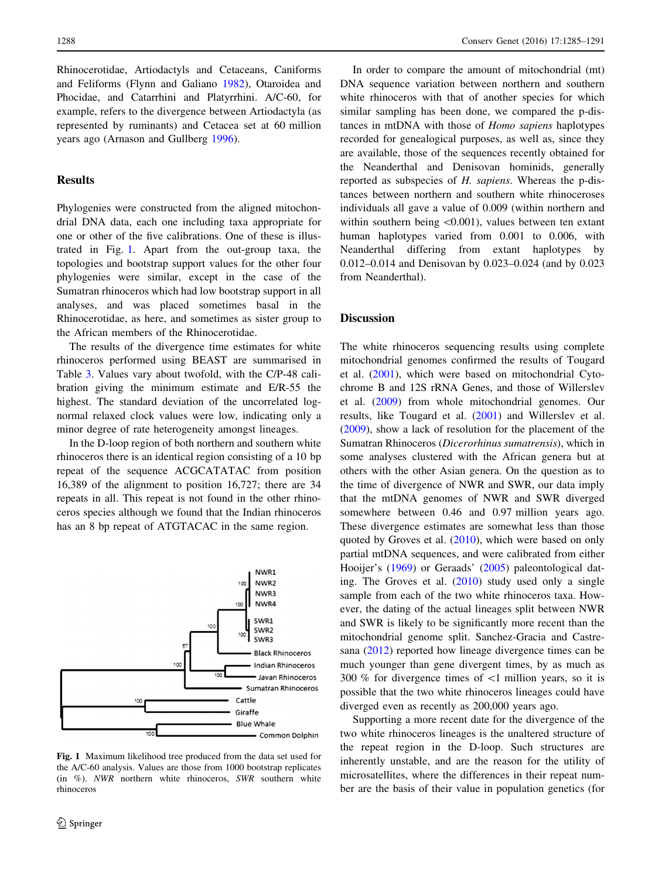Rhinocerotidae, Artiodactyls and Cetaceans, Caniforms and Feliforms (Flynn and Galiano [1982](#page-5-0)), Otaroidea and Phocidae, and Catarrhini and Platyrrhini. A/C-60, for example, refers to the divergence between Artiodactyla (as represented by ruminants) and Cetacea set at 60 million years ago (Arnason and Gullberg [1996](#page-5-0)).

## **Results**

Phylogenies were constructed from the aligned mitochondrial DNA data, each one including taxa appropriate for one or other of the five calibrations. One of these is illustrated in Fig. 1. Apart from the out-group taxa, the topologies and bootstrap support values for the other four phylogenies were similar, except in the case of the Sumatran rhinoceros which had low bootstrap support in all analyses, and was placed sometimes basal in the Rhinocerotidae, as here, and sometimes as sister group to the African members of the Rhinocerotidae.

The results of the divergence time estimates for white rhinoceros performed using BEAST are summarised in Table [3](#page-4-0). Values vary about twofold, with the C/P-48 calibration giving the minimum estimate and E/R-55 the highest. The standard deviation of the uncorrelated lognormal relaxed clock values were low, indicating only a minor degree of rate heterogeneity amongst lineages.

In the D-loop region of both northern and southern white rhinoceros there is an identical region consisting of a 10 bp repeat of the sequence ACGCATATAC from position 16,389 of the alignment to position 16,727; there are 34 repeats in all. This repeat is not found in the other rhinoceros species although we found that the Indian rhinoceros has an 8 bp repeat of ATGTACAC in the same region.



Fig. 1 Maximum likelihood tree produced from the data set used for the A/C-60 analysis. Values are those from 1000 bootstrap replicates (in  $\%$ ). NWR northern white rhinoceros, SWR southern white rhinoceros

In order to compare the amount of mitochondrial (mt) DNA sequence variation between northern and southern white rhinoceros with that of another species for which similar sampling has been done, we compared the p-distances in mtDNA with those of Homo sapiens haplotypes recorded for genealogical purposes, as well as, since they are available, those of the sequences recently obtained for the Neanderthal and Denisovan hominids, generally reported as subspecies of H. sapiens. Whereas the p-distances between northern and southern white rhinoceroses individuals all gave a value of 0.009 (within northern and within southern being  $\langle 0.001 \rangle$ , values between ten extant human haplotypes varied from 0.001 to 0.006, with Neanderthal differing from extant haplotypes by 0.012–0.014 and Denisovan by 0.023–0.024 (and by 0.023 from Neanderthal).

#### **Discussion**

The white rhinoceros sequencing results using complete mitochondrial genomes confirmed the results of Tougard et al. ([2001\)](#page-6-0), which were based on mitochondrial Cytochrome B and 12S rRNA Genes, and those of Willerslev et al. [\(2009](#page-6-0)) from whole mitochondrial genomes. Our results, like Tougard et al. [\(2001](#page-6-0)) and Willerslev et al. [\(2009](#page-6-0)), show a lack of resolution for the placement of the Sumatran Rhinoceros (Dicerorhinus sumatrensis), which in some analyses clustered with the African genera but at others with the other Asian genera. On the question as to the time of divergence of NWR and SWR, our data imply that the mtDNA genomes of NWR and SWR diverged somewhere between 0.46 and 0.97 million years ago. These divergence estimates are somewhat less than those quoted by Groves et al. [\(2010](#page-5-0)), which were based on only partial mtDNA sequences, and were calibrated from either Hooijer's [\(1969](#page-6-0)) or Geraads' [\(2005](#page-5-0)) paleontological dating. The Groves et al. ([2010\)](#page-5-0) study used only a single sample from each of the two white rhinoceros taxa. However, the dating of the actual lineages split between NWR and SWR is likely to be significantly more recent than the mitochondrial genome split. Sanchez-Gracia and Castresana [\(2012](#page-6-0)) reported how lineage divergence times can be much younger than gene divergent times, by as much as 300 % for divergence times of  $\leq 1$  million years, so it is possible that the two white rhinoceros lineages could have diverged even as recently as 200,000 years ago.

Supporting a more recent date for the divergence of the two white rhinoceros lineages is the unaltered structure of the repeat region in the D-loop. Such structures are inherently unstable, and are the reason for the utility of microsatellites, where the differences in their repeat number are the basis of their value in population genetics (for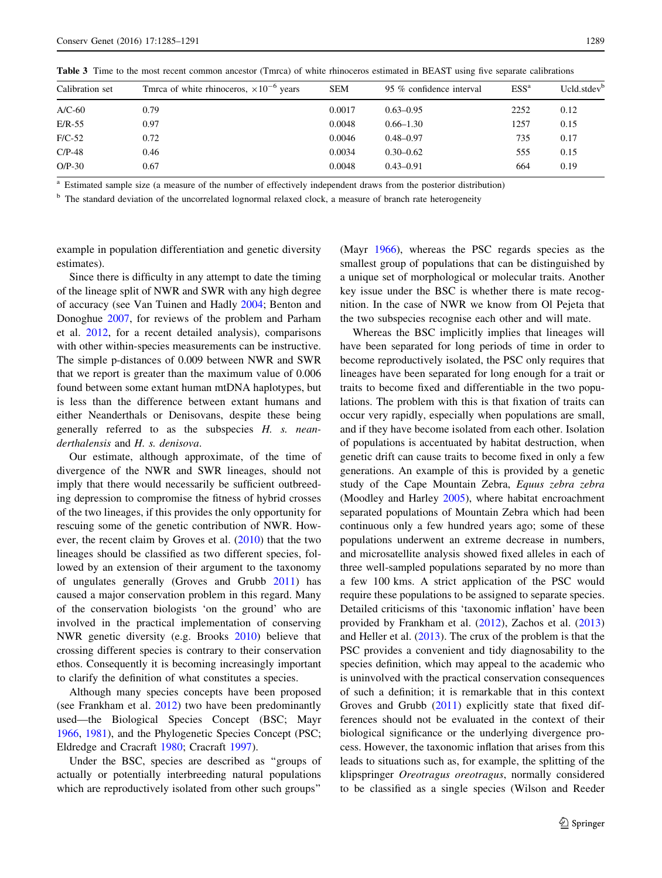| Calibration set | Tmrca of white rhinoceros, $\times 10^{-6}$ years | <b>SEM</b> | 95 % confidence interval | $ESS^a$ | Ucld.stdev $b$ |
|-----------------|---------------------------------------------------|------------|--------------------------|---------|----------------|
| $A/C-60$        | 0.79                                              | 0.0017     | $0.63 - 0.95$            | 2252    | 0.12           |
| $E/R-55$        | 0.97                                              | 0.0048     | $0.66 - 1.30$            | 1257    | 0.15           |
| $F/C-52$        | 0.72                                              | 0.0046     | $0.48 - 0.97$            | 735     | 0.17           |
| $C/P-48$        | 0.46                                              | 0.0034     | $0.30 - 0.62$            | 555     | 0.15           |
| $O/P-30$        | 0.67                                              | 0.0048     | $0.43 - 0.91$            | 664     | 0.19           |

<span id="page-4-0"></span>Table 3 Time to the most recent common ancestor (Tmrca) of white rhinoceros estimated in BEAST using five separate calibrations

<sup>a</sup> Estimated sample size (a measure of the number of effectively independent draws from the posterior distribution)

<sup>b</sup> The standard deviation of the uncorrelated lognormal relaxed clock, a measure of branch rate heterogeneity

example in population differentiation and genetic diversity estimates).

Since there is difficulty in any attempt to date the timing of the lineage split of NWR and SWR with any high degree of accuracy (see Van Tuinen and Hadly [2004;](#page-6-0) Benton and Donoghue [2007,](#page-5-0) for reviews of the problem and Parham et al. [2012](#page-6-0), for a recent detailed analysis), comparisons with other within-species measurements can be instructive. The simple p-distances of 0.009 between NWR and SWR that we report is greater than the maximum value of 0.006 found between some extant human mtDNA haplotypes, but is less than the difference between extant humans and either Neanderthals or Denisovans, despite these being generally referred to as the subspecies H. s. neanderthalensis and H. s. denisova.

Our estimate, although approximate, of the time of divergence of the NWR and SWR lineages, should not imply that there would necessarily be sufficient outbreeding depression to compromise the fitness of hybrid crosses of the two lineages, if this provides the only opportunity for rescuing some of the genetic contribution of NWR. However, the recent claim by Groves et al. [\(2010](#page-5-0)) that the two lineages should be classified as two different species, followed by an extension of their argument to the taxonomy of ungulates generally (Groves and Grubb [2011](#page-5-0)) has caused a major conservation problem in this regard. Many of the conservation biologists 'on the ground' who are involved in the practical implementation of conserving NWR genetic diversity (e.g. Brooks [2010](#page-5-0)) believe that crossing different species is contrary to their conservation ethos. Consequently it is becoming increasingly important to clarify the definition of what constitutes a species.

Although many species concepts have been proposed (see Frankham et al. [2012\)](#page-5-0) two have been predominantly used—the Biological Species Concept (BSC; Mayr [1966,](#page-6-0) [1981\)](#page-6-0), and the Phylogenetic Species Concept (PSC; Eldredge and Cracraft [1980](#page-5-0); Cracraft [1997\)](#page-5-0).

Under the BSC, species are described as ''groups of actually or potentially interbreeding natural populations which are reproductively isolated from other such groups"

(Mayr [1966\)](#page-6-0), whereas the PSC regards species as the smallest group of populations that can be distinguished by a unique set of morphological or molecular traits. Another key issue under the BSC is whether there is mate recognition. In the case of NWR we know from Ol Pejeta that the two subspecies recognise each other and will mate.

Whereas the BSC implicitly implies that lineages will have been separated for long periods of time in order to become reproductively isolated, the PSC only requires that lineages have been separated for long enough for a trait or traits to become fixed and differentiable in the two populations. The problem with this is that fixation of traits can occur very rapidly, especially when populations are small, and if they have become isolated from each other. Isolation of populations is accentuated by habitat destruction, when genetic drift can cause traits to become fixed in only a few generations. An example of this is provided by a genetic study of the Cape Mountain Zebra, Equus zebra zebra (Moodley and Harley [2005\)](#page-6-0), where habitat encroachment separated populations of Mountain Zebra which had been continuous only a few hundred years ago; some of these populations underwent an extreme decrease in numbers, and microsatellite analysis showed fixed alleles in each of three well-sampled populations separated by no more than a few 100 kms. A strict application of the PSC would require these populations to be assigned to separate species. Detailed criticisms of this 'taxonomic inflation' have been provided by Frankham et al. [\(2012](#page-5-0)), Zachos et al. ([2013\)](#page-6-0) and Heller et al. [\(2013](#page-6-0)). The crux of the problem is that the PSC provides a convenient and tidy diagnosability to the species definition, which may appeal to the academic who is uninvolved with the practical conservation consequences of such a definition; it is remarkable that in this context Groves and Grubb [\(2011\)](#page-5-0) explicitly state that fixed differences should not be evaluated in the context of their biological significance or the underlying divergence process. However, the taxonomic inflation that arises from this leads to situations such as, for example, the splitting of the klipspringer Oreotragus oreotragus, normally considered to be classified as a single species (Wilson and Reeder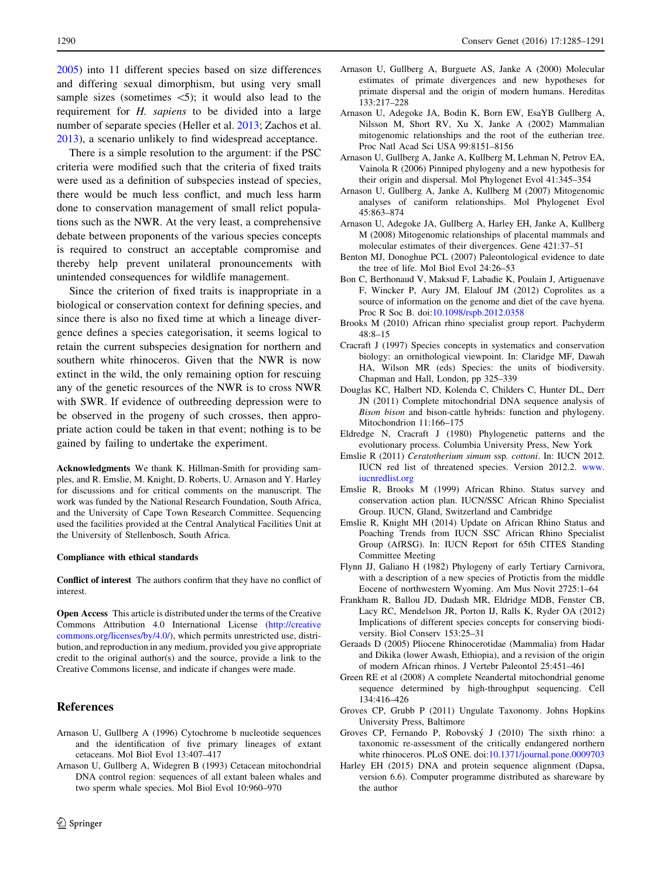<span id="page-5-0"></span>[2005\)](#page-6-0) into 11 different species based on size differences and differing sexual dimorphism, but using very small sample sizes (sometimes  $\lt 5$ ); it would also lead to the requirement for H. sapiens to be divided into a large number of separate species (Heller et al. [2013](#page-6-0); Zachos et al. [2013\)](#page-6-0), a scenario unlikely to find widespread acceptance.

There is a simple resolution to the argument: if the PSC criteria were modified such that the criteria of fixed traits were used as a definition of subspecies instead of species, there would be much less conflict, and much less harm done to conservation management of small relict populations such as the NWR. At the very least, a comprehensive debate between proponents of the various species concepts is required to construct an acceptable compromise and thereby help prevent unilateral pronouncements with unintended consequences for wildlife management.

Since the criterion of fixed traits is inappropriate in a biological or conservation context for defining species, and since there is also no fixed time at which a lineage divergence defines a species categorisation, it seems logical to retain the current subspecies designation for northern and southern white rhinoceros. Given that the NWR is now extinct in the wild, the only remaining option for rescuing any of the genetic resources of the NWR is to cross NWR with SWR. If evidence of outbreeding depression were to be observed in the progeny of such crosses, then appropriate action could be taken in that event; nothing is to be gained by failing to undertake the experiment.

Acknowledgments We thank K. Hillman-Smith for providing samples, and R. Emslie, M. Knight, D. Roberts, U. Arnason and Y. Harley for discussions and for critical comments on the manuscript. The work was funded by the National Research Foundation, South Africa, and the University of Cape Town Research Committee. Sequencing used the facilities provided at the Central Analytical Facilities Unit at the University of Stellenbosch, South Africa.

#### Compliance with ethical standards

Conflict of interest The authors confirm that they have no conflict of interest.

Open Access This article is distributed under the terms of the Creative Commons Attribution 4.0 International License ([http://creative](http://creativecommons.org/licenses/by/4.0/) [commons.org/licenses/by/4.0/\)](http://creativecommons.org/licenses/by/4.0/), which permits unrestricted use, distribution, and reproduction in any medium, provided you give appropriate credit to the original author(s) and the source, provide a link to the Creative Commons license, and indicate if changes were made.

# References

- Arnason U, Gullberg A (1996) Cytochrome b nucleotide sequences and the identification of five primary lineages of extant cetaceans. Mol Biol Evol 13:407–417
- Arnason U, Gullberg A, Widegren B (1993) Cetacean mitochondrial DNA control region: sequences of all extant baleen whales and two sperm whale species. Mol Biol Evol 10:960–970
- Arnason U, Gullberg A, Burguete AS, Janke A (2000) Molecular estimates of primate divergences and new hypotheses for primate dispersal and the origin of modern humans. Hereditas 133:217–228
- Arnason U, Adegoke JA, Bodin K, Born EW, EsaYB Gullberg A, Nilsson M, Short RV, Xu X, Janke A (2002) Mammalian mitogenomic relationships and the root of the eutherian tree. Proc Natl Acad Sci USA 99:8151–8156
- Arnason U, Gullberg A, Janke A, Kullberg M, Lehman N, Petrov EA, Vainola R (2006) Pinniped phylogeny and a new hypothesis for their origin and dispersal. Mol Phylogenet Evol 41:345–354
- Arnason U, Gullberg A, Janke A, Kullberg M (2007) Mitogenomic analyses of caniform relationships. Mol Phylogenet Evol 45:863–874
- Arnason U, Adegoke JA, Gullberg A, Harley EH, Janke A, Kullberg M (2008) Mitogenomic relationships of placental mammals and molecular estimates of their divergences. Gene 421:37–51
- Benton MJ, Donoghue PCL (2007) Paleontological evidence to date the tree of life. Mol Biol Evol 24:26–53
- Bon C, Berthonaud V, Maksud F, Labadie K, Poulain J, Artiguenave F, Wincker P, Aury JM, Elalouf JM (2012) Coprolites as a source of information on the genome and diet of the cave hyena. Proc R Soc B. doi[:10.1098/rspb.2012.0358](http://dx.doi.org/10.1098/rspb.2012.0358)
- Brooks M (2010) African rhino specialist group report. Pachyderm 48:8–15
- Cracraft J (1997) Species concepts in systematics and conservation biology: an ornithological viewpoint. In: Claridge MF, Dawah HA, Wilson MR (eds) Species: the units of biodiversity. Chapman and Hall, London, pp 325–339
- Douglas KC, Halbert ND, Kolenda C, Childers C, Hunter DL, Derr JN (2011) Complete mitochondrial DNA sequence analysis of Bison bison and bison-cattle hybrids: function and phylogeny. Mitochondrion 11:166–175
- Eldredge N, Cracraft J (1980) Phylogenetic patterns and the evolutionary process. Columbia University Press, New York
- Emslie R (2011) Ceratotherium simum ssp. cottoni. In: IUCN 2012. IUCN red list of threatened species. Version 2012.2. [www.](http://www.iucnredlist.org) [iucnredlist.org](http://www.iucnredlist.org)
- Emslie R, Brooks M (1999) African Rhino. Status survey and conservation action plan. IUCN/SSC African Rhino Specialist Group. IUCN, Gland, Switzerland and Cambridge
- Emslie R, Knight MH (2014) Update on African Rhino Status and Poaching Trends from IUCN SSC African Rhino Specialist Group (AfRSG). In: IUCN Report for 65th CITES Standing Committee Meeting
- Flynn JJ, Galiano H (1982) Phylogeny of early Tertiary Carnivora, with a description of a new species of Protictis from the middle Eocene of northwestern Wyoming. Am Mus Novit 2725:1–64
- Frankham R, Ballou JD, Dudash MR, Eldridge MDB, Fenster CB, Lacy RC, Mendelson JR, Porton IJ, Ralls K, Ryder OA (2012) Implications of different species concepts for conserving biodiversity. Biol Conserv 153:25–31
- Geraads D (2005) Pliocene Rhinocerotidae (Mammalia) from Hadar and Dikika (lower Awash, Ethiopia), and a revision of the origin of modern African rhinos. J Vertebr Paleontol 25:451–461
- Green RE et al (2008) A complete Neandertal mitochondrial genome sequence determined by high-throughput sequencing. Cell 134:416–426
- Groves CP, Grubb P (2011) Ungulate Taxonomy. Johns Hopkins University Press, Baltimore
- Groves CP, Fernando P, Robovsky´ J (2010) The sixth rhino: a taxonomic re-assessment of the critically endangered northern white rhinoceros. PLoS ONE. doi:[10.1371/journal.pone.0009703](http://dx.doi.org/10.1371/journal.pone.0009703)
- Harley EH (2015) DNA and protein sequence alignment (Dapsa, version 6.6). Computer programme distributed as shareware by the author